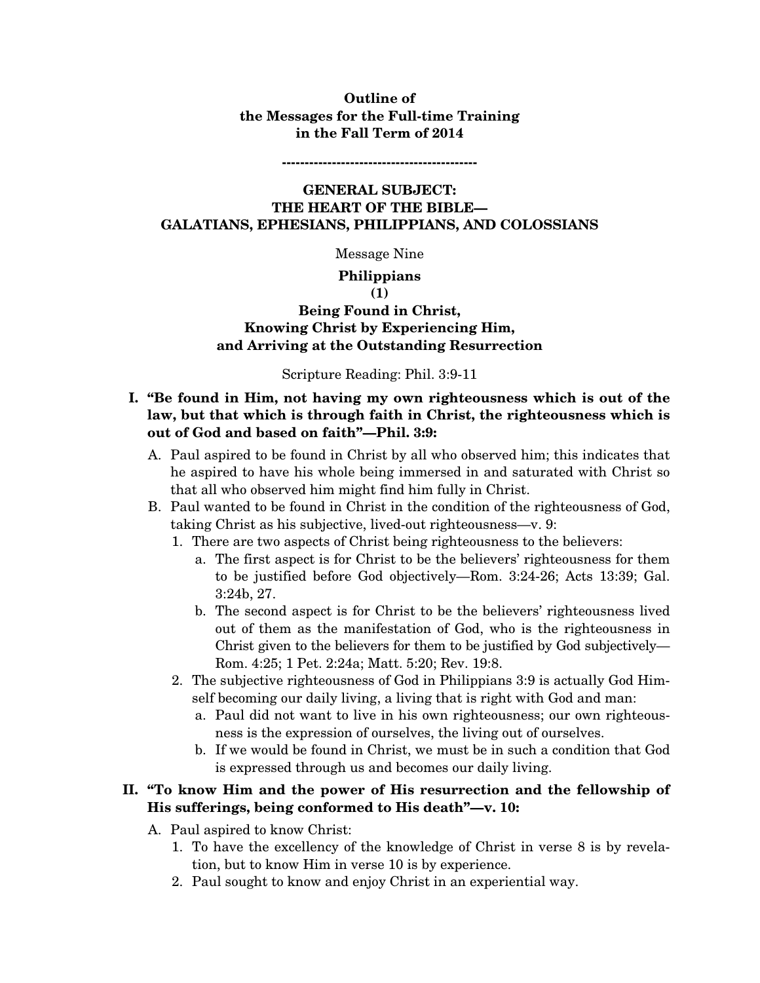#### **Outline of the Messages for the Full-time Training in the Fall Term of 2014**

**-------------------------------------------** 

### **GENERAL SUBJECT: THE HEART OF THE BIBLE— GALATIANS, EPHESIANS, PHILIPPIANS, AND COLOSSIANS**

Message Nine

#### **Philippians (1)**

# **Being Found in Christ, Knowing Christ by Experiencing Him, and Arriving at the Outstanding Resurrection**

## Scripture Reading: Phil. 3:9-11

## **I. "Be found in Him, not having my own righteousness which is out of the law, but that which is through faith in Christ, the righteousness which is out of God and based on faith"—Phil. 3:9:**

- A. Paul aspired to be found in Christ by all who observed him; this indicates that he aspired to have his whole being immersed in and saturated with Christ so that all who observed him might find him fully in Christ.
- B. Paul wanted to be found in Christ in the condition of the righteousness of God, taking Christ as his subjective, lived-out righteousness—v. 9:
	- 1. There are two aspects of Christ being righteousness to the believers:
		- a. The first aspect is for Christ to be the believers' righteousness for them to be justified before God objectively—Rom. 3:24-26; Acts 13:39; Gal. 3:24b, 27.
		- b. The second aspect is for Christ to be the believers' righteousness lived out of them as the manifestation of God, who is the righteousness in Christ given to the believers for them to be justified by God subjectively— Rom. 4:25; 1 Pet. 2:24a; Matt. 5:20; Rev. 19:8.
	- 2. The subjective righteousness of God in Philippians 3:9 is actually God Himself becoming our daily living, a living that is right with God and man:
		- a. Paul did not want to live in his own righteousness; our own righteousness is the expression of ourselves, the living out of ourselves.
		- b. If we would be found in Christ, we must be in such a condition that God is expressed through us and becomes our daily living.

# **II. "To know Him and the power of His resurrection and the fellowship of His sufferings, being conformed to His death"—v. 10:**

- A. Paul aspired to know Christ:
	- 1. To have the excellency of the knowledge of Christ in verse 8 is by revelation, but to know Him in verse 10 is by experience.
	- 2. Paul sought to know and enjoy Christ in an experiential way.